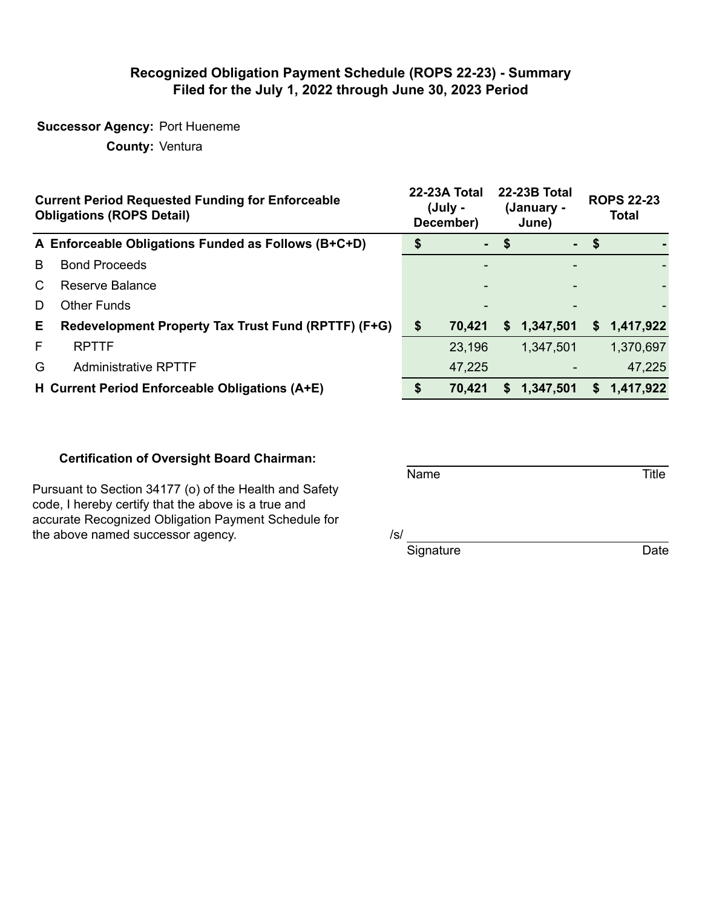### **Recognized Obligation Payment Schedule (ROPS 22-23) - Summary Filed for the July 1, 2022 through June 30, 2023 Period**

## **Successor Agency:** Port Hueneme

**County:** Ventura

|    | <b>Current Period Requested Funding for Enforceable</b><br><b>Obligations (ROPS Detail)</b> | 22-23A Total<br>(July -<br>December) |      | <b>22-23B Total</b><br>(January -<br>June) | <b>ROPS 22-23</b><br><b>Total</b> |           |
|----|---------------------------------------------------------------------------------------------|--------------------------------------|------|--------------------------------------------|-----------------------------------|-----------|
|    | A Enforceable Obligations Funded as Follows (B+C+D)                                         | $\sim$                               | - \$ |                                            | $-$ \$                            |           |
| B  | <b>Bond Proceeds</b>                                                                        |                                      |      |                                            |                                   |           |
| C. | Reserve Balance                                                                             |                                      |      |                                            |                                   |           |
| D  | <b>Other Funds</b>                                                                          |                                      |      |                                            |                                   |           |
| Е. | Redevelopment Property Tax Trust Fund (RPTTF) (F+G)                                         | \$<br>70,421                         | S.   | 1,347,501                                  | S.                                | 1,417,922 |
| F  | <b>RPTTF</b>                                                                                | 23,196                               |      | 1,347,501                                  |                                   | 1,370,697 |
| G  | <b>Administrative RPTTF</b>                                                                 | 47,225                               |      |                                            |                                   | 47,225    |
|    | H Current Period Enforceable Obligations (A+E)                                              | 70,421                               | S    | 1,347,501                                  | S.                                | 1,417,922 |

#### **Certification of Oversight Board Chairman:**

Pursuant to Section 34177 (o) of the Health and Safety code, I hereby certify that the above is a true and accurate Recognized Obligation Payment Schedule for the above named successor agency.  $/ s / s$ 

Signature Date

Name Title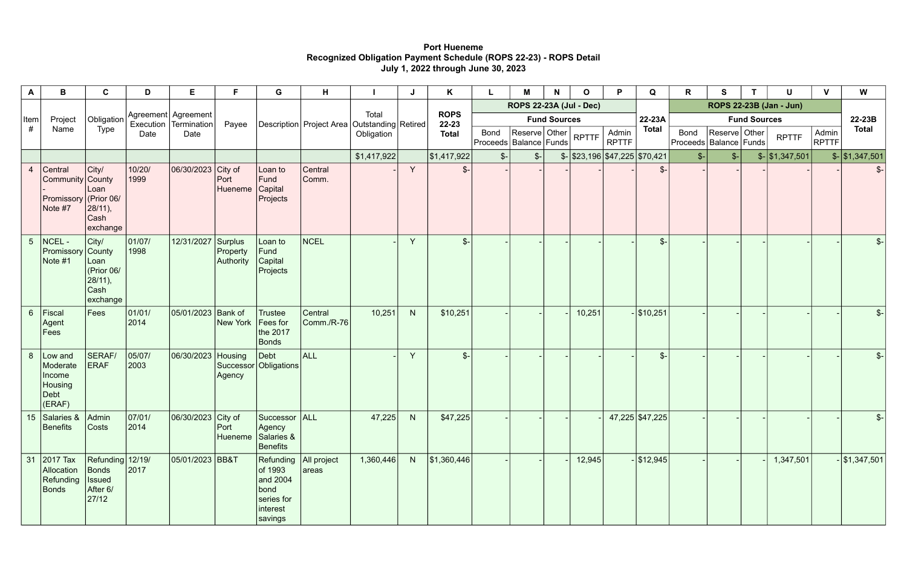# **Port Hueneme Recognized Obligation Payment Schedule (ROPS 22-23) - ROPS Detail July 1, 2022 through June 30, 2023**

| A              | B                                                                   | C                                                                    | D              | E.                                                 | F                                                                | G                                                                             | H                     |             |                                           | Κ                        |                                | М                   | N                     | $\mathbf O$                                 | P                                  | Q                       | R    | S            | т              | U                           | $\mathbf v$ | W                            |
|----------------|---------------------------------------------------------------------|----------------------------------------------------------------------|----------------|----------------------------------------------------|------------------------------------------------------------------|-------------------------------------------------------------------------------|-----------------------|-------------|-------------------------------------------|--------------------------|--------------------------------|---------------------|-----------------------|---------------------------------------------|------------------------------------|-------------------------|------|--------------|----------------|-----------------------------|-------------|------------------------------|
| ∣Item<br>#     |                                                                     |                                                                      |                |                                                    |                                                                  |                                                                               |                       |             |                                           | <b>ROPS</b><br>$22 - 23$ | <b>ROPS 22-23A (Jul - Dec)</b> |                     |                       |                                             |                                    | ROPS 22-23B (Jan - Jun) |      |              |                |                             |             |                              |
|                | Project                                                             | Obligation                                                           |                | Agreement   Agreement  <br>Execution   Termination | Payee                                                            |                                                                               |                       | Total       |                                           |                          |                                | <b>Fund Sources</b> |                       | 22-23A                                      | <b>Fund Sources</b>                |                         |      |              |                | 22-23B                      |             |                              |
|                | Name                                                                | Type                                                                 | Date           | Date                                               | Description   Project Area   Outstanding   Retired<br>Obligation |                                                                               |                       |             | <b>Bond</b><br>Proceeds   Balance   Funds | Reserve Other            |                                | <b>RPTTF</b>        | Admin<br><b>RPTTF</b> | <b>Total</b>                                | Bond<br>Proceeds   Balance   Funds | Reserve Other           |      | <b>RPTTF</b> | Admin<br>RPTTF | <b>Total</b>                |             |                              |
|                |                                                                     |                                                                      |                |                                                    |                                                                  |                                                                               |                       | \$1,417,922 |                                           | \$1,417,922              | $S-$                           | $\mathcal{S}$ -     |                       | $\frac{1}{2}$ \\$23,196 \\$47,225 \\$70,421 |                                    |                         | $s-$ | $S$ -        |                | $\frac{1}{2}$ \ \$1,347,501 |             | $\frac{1}{2}$ \, \$1,347,501 |
| $\overline{4}$ | Central<br>Community County<br>Promissory<br>Note #7                | City/<br>Loan<br>$ $ (Prior 06/<br>28/11),<br>Cash<br>exchange       | 10/20/<br>1999 | 06/30/2023 City of                                 | Port<br>Hueneme                                                  | Loan to<br>Fund<br>Capital<br>Projects                                        | Central<br>Comm.      |             | Y.                                        | $\frac{2}{2}$            |                                |                     |                       |                                             |                                    | $\mathcal{S}$ -         |      |              |                |                             |             | $\mathcal{S}$ -              |
|                | $5$ NCEL -<br>Promissory<br>Note #1                                 | City/<br>County<br>Loan<br>(Prior 06/<br>28/11),<br>Cash<br>exchange | 01/07/<br>1998 | 12/31/2027                                         | Surplus<br>Property<br>Authority                                 | Loan to<br>Fund<br>Capital<br>Projects                                        | <b>NCEL</b>           |             | $\vee$                                    | $\frac{2}{2}$            |                                |                     |                       |                                             |                                    | $\frac{2}{2}$           |      |              |                |                             |             | $S-$                         |
| 6 <sup>1</sup> | Fiscal<br>Agent<br>Fees                                             | Fees                                                                 | 01/01/<br>2014 | 05/01/2023 Bank of                                 | <b>New York</b>                                                  | <b>Trustee</b><br>Fees for<br>the 2017<br><b>Bonds</b>                        | Central<br>Comm./R-76 | 10,251      | N                                         | \$10,251                 |                                |                     |                       | 10,251                                      |                                    | $ $10,251$              |      |              |                |                             |             | $\frac{2}{2}$                |
|                | 8 Low and<br>Moderate<br>Income<br><b>Housing</b><br>Debt<br>(ERAF) | SERAF/<br><b>ERAF</b>                                                | 05/07/<br>2003 | 06/30/2023 Housing                                 | Agency                                                           | Debt<br>Successor Obligations                                                 | ALL                   |             | Y                                         | $\frac{2}{2}$            |                                |                     |                       |                                             |                                    | $\frac{2}{2}$           |      |              |                |                             |             | $\mathcal{S}$ -              |
|                | 15 Salaries & Admin<br>Benefits                                     | $\vert$ Costs                                                        | 07/01/<br>2014 | $\vert$ 06/30/2023 City of Successor ALL           | Port<br>Hueneme                                                  | Agency<br>Salaries &<br><b>Benefits</b>                                       |                       | 47,225      | N                                         | \$47,225                 |                                |                     |                       |                                             |                                    | 47,225 \$47,225         |      |              |                |                             |             | $\frac{2}{\pi}$              |
|                | 31 2017 Tax<br>Allocation<br>Refunding<br>Bonds                     | Refunding 12/19/<br>Bonds<br><b>Issued</b><br>After 6/<br> 27/12     | $\boxed{2017}$ | 05/01/2023 BB&T                                    |                                                                  | Refunding<br>of 1993<br>and 2004<br>bond<br>series for<br>interest<br>savings | All project<br>areas  | 1,360,446   |                                           | $N$   \$1,360,446        |                                |                     |                       | 12,945                                      |                                    | $-$ \$12,945            |      |              |                | 1,347,501                   |             | $-$ \$1,347,501              |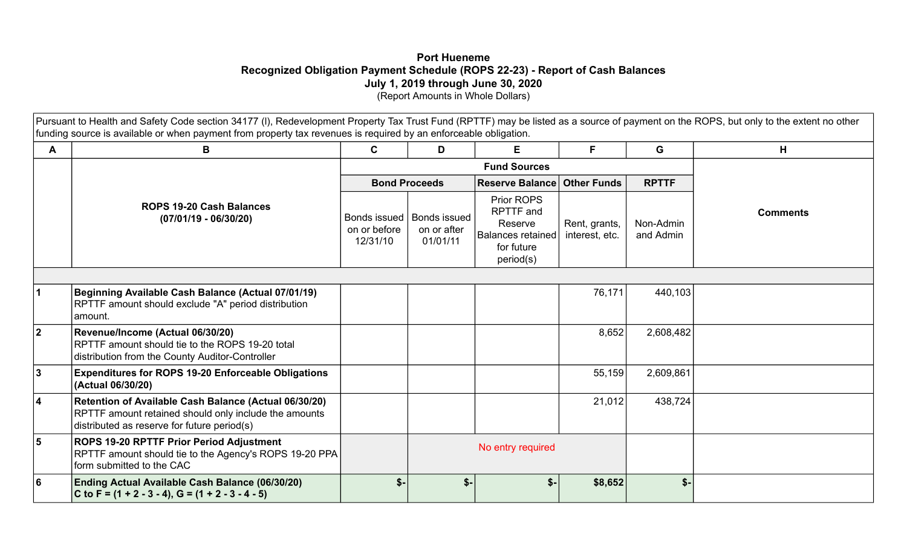## **Port Hueneme Recognized Obligation Payment Schedule (ROPS 22-23) - Report of Cash Balances July 1, 2019 through June 30, 2020**  (Report Amounts in Whole Dollars)

Pursuant to Health and Safety Code section 34177 (I), Redevelopment Property Tax Trust Fund (RPTTF) may be listed as a source of payment on the ROPS, but only to the extent no other funding source is available or when payment from property tax revenues is required by an enforceable obligation.

| А              | B                                                                                                                                                             | C                                        | D                                              | E                                                                                  | F.                              | G                      | H               |
|----------------|---------------------------------------------------------------------------------------------------------------------------------------------------------------|------------------------------------------|------------------------------------------------|------------------------------------------------------------------------------------|---------------------------------|------------------------|-----------------|
|                |                                                                                                                                                               |                                          |                                                |                                                                                    |                                 |                        |                 |
|                |                                                                                                                                                               |                                          | <b>Bond Proceeds</b>                           | Reserve Balance Other Funds                                                        |                                 | <b>RPTTF</b>           |                 |
|                | <b>ROPS 19-20 Cash Balances</b><br>$(07/01/19 - 06/30/20)$                                                                                                    | Bonds issued<br>on or before<br>12/31/10 | <b>Bonds issued</b><br>on or after<br>01/01/11 | Prior ROPS<br>RPTTF and<br>Reserve<br>Balances retained<br>for future<br>period(s) | Rent, grants,<br>interest, etc. | Non-Admin<br>and Admin | <b>Comments</b> |
|                |                                                                                                                                                               |                                          |                                                |                                                                                    |                                 |                        |                 |
|                | Beginning Available Cash Balance (Actual 07/01/19)<br>RPTTF amount should exclude "A" period distribution<br>amount.                                          |                                          |                                                |                                                                                    | 76,171                          | 440,103                |                 |
| $\overline{2}$ | Revenue/Income (Actual 06/30/20)<br>RPTTF amount should tie to the ROPS 19-20 total<br>distribution from the County Auditor-Controller                        |                                          |                                                |                                                                                    | 8,652                           | 2,608,482              |                 |
| 3              | <b>Expenditures for ROPS 19-20 Enforceable Obligations</b><br>(Actual 06/30/20)                                                                               |                                          |                                                |                                                                                    | 55,159                          | 2,609,861              |                 |
| 4              | Retention of Available Cash Balance (Actual 06/30/20)<br>RPTTF amount retained should only include the amounts<br>distributed as reserve for future period(s) |                                          |                                                |                                                                                    | 21,012                          | 438,724                |                 |
| 5              | ROPS 19-20 RPTTF Prior Period Adjustment<br>RPTTF amount should tie to the Agency's ROPS 19-20 PPA<br>form submitted to the CAC                               |                                          | No entry required                              |                                                                                    |                                 |                        |                 |
| 6              | Ending Actual Available Cash Balance (06/30/20)<br>C to F = $(1 + 2 - 3 - 4)$ , G = $(1 + 2 - 3 - 4 - 5)$                                                     | $$-$                                     | $S-$                                           | $s-$                                                                               | \$8,652                         | $$-$                   |                 |